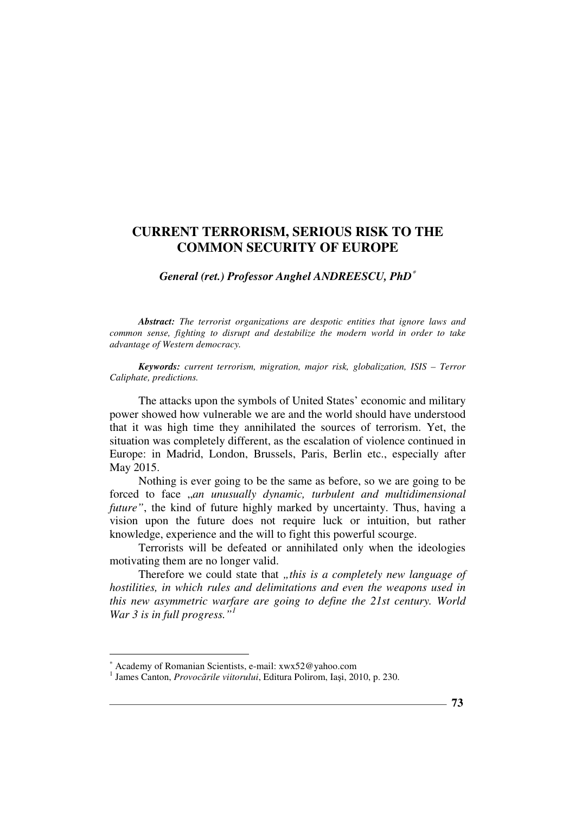*General (ret.) Professor Anghel ANDREESCU, PhD*<sup>∗</sup>

*Abstract: The terrorist organizations are despotic entities that ignore laws and common sense, fighting to disrupt and destabilize the modern world in order to take advantage of Western democracy.* 

*Keywords: current terrorism, migration, major risk, globalization, ISIS – Terror Caliphate, predictions.* 

The attacks upon the symbols of United States' economic and military power showed how vulnerable we are and the world should have understood that it was high time they annihilated the sources of terrorism. Yet, the situation was completely different, as the escalation of violence continued in Europe: in Madrid, London, Brussels, Paris, Berlin etc., especially after May 2015.

Nothing is ever going to be the same as before, so we are going to be forced to face "*an unusually dynamic, turbulent and multidimensional future"*, the kind of future highly marked by uncertainty. Thus, having a vision upon the future does not require luck or intuition, but rather knowledge, experience and the will to fight this powerful scourge.

Terrorists will be defeated or annihilated only when the ideologies motivating them are no longer valid.

Therefore we could state that *"this is a completely new language of hostilities, in which rules and delimitations and even the weapons used in this new asymmetric warfare are going to define the 21st century. World War 3 is in full progress."<sup>1</sup>*

 $\overline{a}$ 

<sup>∗</sup> Academy of Romanian Scientists, e-mail: xwx52@yahoo.com

<sup>1</sup> James Canton, *Provocările viitorului*, Editura Polirom, Iaşi, 2010, p. 230.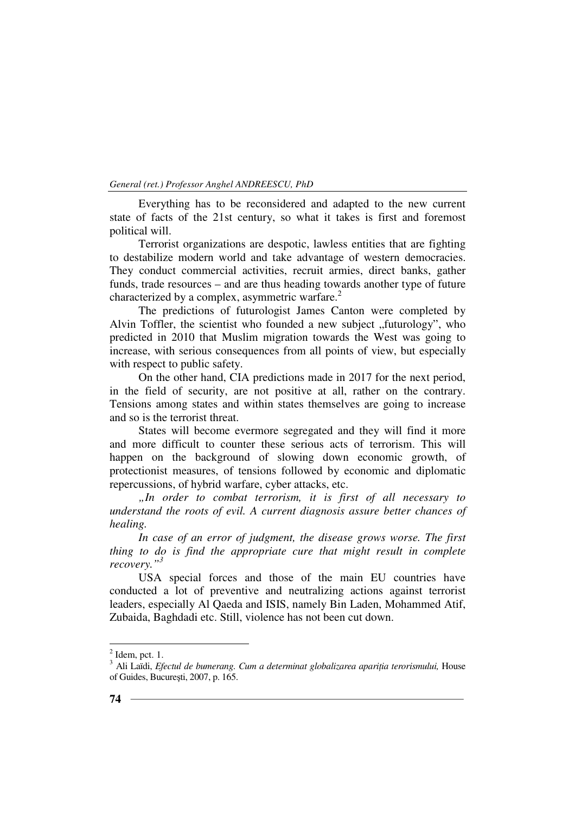*General (ret.) Professor Anghel ANDREESCU, PhD*

Everything has to be reconsidered and adapted to the new current state of facts of the 21st century, so what it takes is first and foremost political will.

Terrorist organizations are despotic, lawless entities that are fighting to destabilize modern world and take advantage of western democracies. They conduct commercial activities, recruit armies, direct banks, gather funds, trade resources – and are thus heading towards another type of future characterized by a complex, asymmetric warfare.<sup>2</sup>

The predictions of futurologist James Canton were completed by Alvin Toffler, the scientist who founded a new subject ...futurology", who predicted in 2010 that Muslim migration towards the West was going to increase, with serious consequences from all points of view, but especially with respect to public safety.

On the other hand, CIA predictions made in 2017 for the next period, in the field of security, are not positive at all, rather on the contrary. Tensions among states and within states themselves are going to increase and so is the terrorist threat.

States will become evermore segregated and they will find it more and more difficult to counter these serious acts of terrorism. This will happen on the background of slowing down economic growth, of protectionist measures, of tensions followed by economic and diplomatic repercussions, of hybrid warfare, cyber attacks, etc.

*"In order to combat terrorism, it is first of all necessary to understand the roots of evil. A current diagnosis assure better chances of healing.* 

*In case of an error of judgment, the disease grows worse. The first thing to do is find the appropriate cure that might result in complete recovery."<sup>3</sup>*

USA special forces and those of the main EU countries have conducted a lot of preventive and neutralizing actions against terrorist leaders, especially Al Qaeda and ISIS, namely Bin Laden, Mohammed Atif, Zubaida, Baghdadi etc. Still, violence has not been cut down.

 $\overline{a}$ 

 $<sup>2</sup>$  Idem, pct. 1.</sup>

<sup>&</sup>lt;sup>3</sup> Ali Laïdi, *Efectul de bumerang. Cum a determinat globalizarea apariția terorismului, House* of Guides, Bucureşti, 2007, p. 165.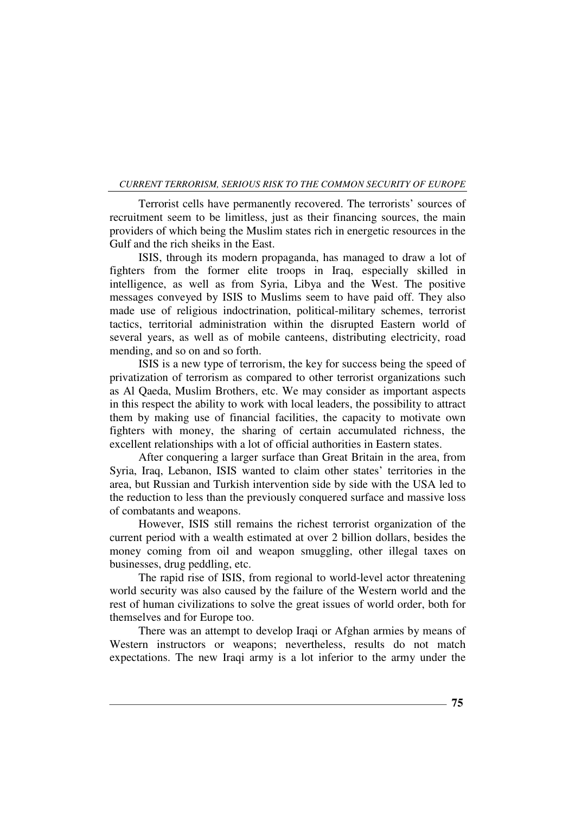Terrorist cells have permanently recovered. The terrorists' sources of recruitment seem to be limitless, just as their financing sources, the main providers of which being the Muslim states rich in energetic resources in the Gulf and the rich sheiks in the East.

ISIS, through its modern propaganda, has managed to draw a lot of fighters from the former elite troops in Iraq, especially skilled in intelligence, as well as from Syria, Libya and the West. The positive messages conveyed by ISIS to Muslims seem to have paid off. They also made use of religious indoctrination, political-military schemes, terrorist tactics, territorial administration within the disrupted Eastern world of several years, as well as of mobile canteens, distributing electricity, road mending, and so on and so forth.

ISIS is a new type of terrorism, the key for success being the speed of privatization of terrorism as compared to other terrorist organizations such as Al Qaeda, Muslim Brothers, etc. We may consider as important aspects in this respect the ability to work with local leaders, the possibility to attract them by making use of financial facilities, the capacity to motivate own fighters with money, the sharing of certain accumulated richness, the excellent relationships with a lot of official authorities in Eastern states.

After conquering a larger surface than Great Britain in the area, from Syria, Iraq, Lebanon, ISIS wanted to claim other states' territories in the area, but Russian and Turkish intervention side by side with the USA led to the reduction to less than the previously conquered surface and massive loss of combatants and weapons.

However, ISIS still remains the richest terrorist organization of the current period with a wealth estimated at over 2 billion dollars, besides the money coming from oil and weapon smuggling, other illegal taxes on businesses, drug peddling, etc.

The rapid rise of ISIS, from regional to world-level actor threatening world security was also caused by the failure of the Western world and the rest of human civilizations to solve the great issues of world order, both for themselves and for Europe too.

There was an attempt to develop Iraqi or Afghan armies by means of Western instructors or weapons; nevertheless, results do not match expectations. The new Iraqi army is a lot inferior to the army under the

**75**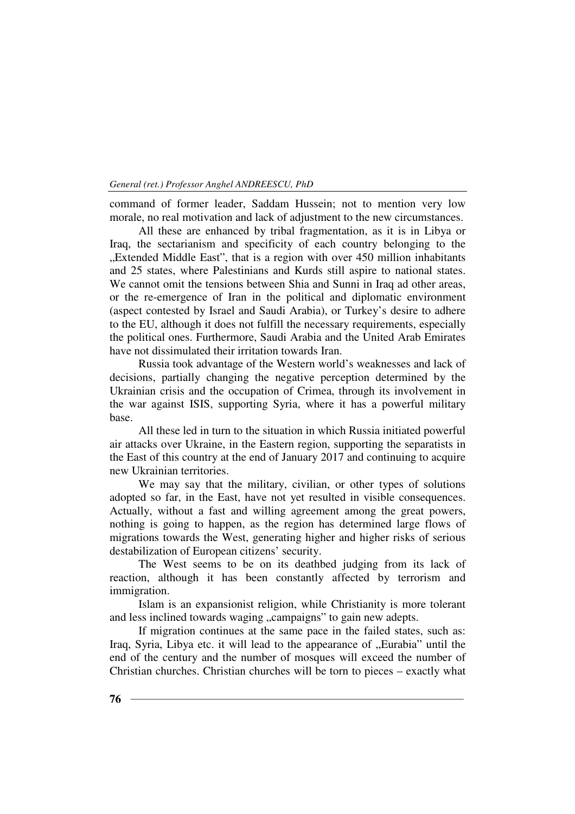#### *General (ret.) Professor Anghel ANDREESCU, PhD*

command of former leader, Saddam Hussein; not to mention very low morale, no real motivation and lack of adjustment to the new circumstances.

All these are enhanced by tribal fragmentation, as it is in Libya or Iraq, the sectarianism and specificity of each country belonging to the "Extended Middle East", that is a region with over 450 million inhabitants and 25 states, where Palestinians and Kurds still aspire to national states. We cannot omit the tensions between Shia and Sunni in Iraq ad other areas, or the re-emergence of Iran in the political and diplomatic environment (aspect contested by Israel and Saudi Arabia), or Turkey's desire to adhere to the EU, although it does not fulfill the necessary requirements, especially the political ones. Furthermore, Saudi Arabia and the United Arab Emirates have not dissimulated their irritation towards Iran.

Russia took advantage of the Western world's weaknesses and lack of decisions, partially changing the negative perception determined by the Ukrainian crisis and the occupation of Crimea, through its involvement in the war against ISIS, supporting Syria, where it has a powerful military base.

All these led in turn to the situation in which Russia initiated powerful air attacks over Ukraine, in the Eastern region, supporting the separatists in the East of this country at the end of January 2017 and continuing to acquire new Ukrainian territories.

We may say that the military, civilian, or other types of solutions adopted so far, in the East, have not yet resulted in visible consequences. Actually, without a fast and willing agreement among the great powers, nothing is going to happen, as the region has determined large flows of migrations towards the West, generating higher and higher risks of serious destabilization of European citizens' security.

The West seems to be on its deathbed judging from its lack of reaction, although it has been constantly affected by terrorism and immigration.

Islam is an expansionist religion, while Christianity is more tolerant and less inclined towards waging "campaigns" to gain new adepts.

If migration continues at the same pace in the failed states, such as: Iraq, Syria, Libya etc. it will lead to the appearance of "Eurabia" until the end of the century and the number of mosques will exceed the number of Christian churches. Christian churches will be torn to pieces – exactly what

**76**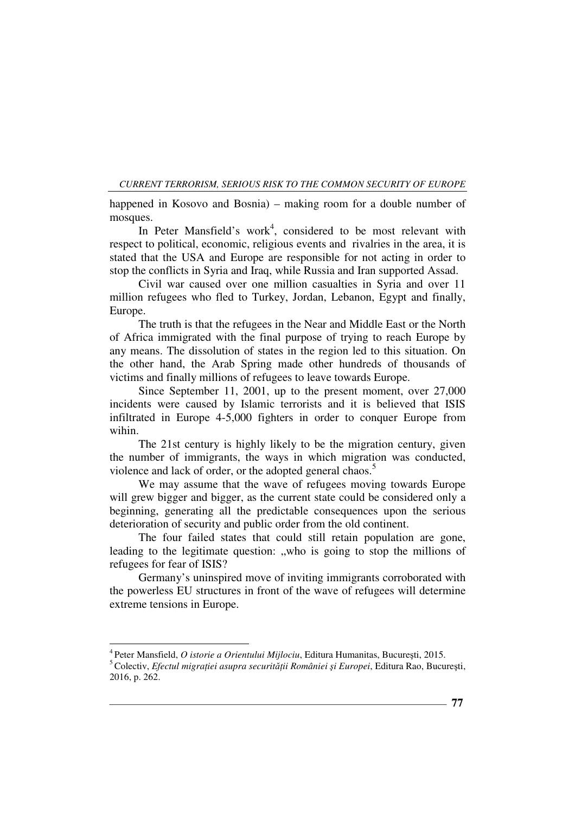happened in Kosovo and Bosnia) – making room for a double number of mosques.

In Peter Mansfield's work<sup>4</sup>, considered to be most relevant with respect to political, economic, religious events and rivalries in the area, it is stated that the USA and Europe are responsible for not acting in order to stop the conflicts in Syria and Iraq, while Russia and Iran supported Assad.

Civil war caused over one million casualties in Syria and over 11 million refugees who fled to Turkey, Jordan, Lebanon, Egypt and finally, Europe.

The truth is that the refugees in the Near and Middle East or the North of Africa immigrated with the final purpose of trying to reach Europe by any means. The dissolution of states in the region led to this situation. On the other hand, the Arab Spring made other hundreds of thousands of victims and finally millions of refugees to leave towards Europe.

Since September 11, 2001, up to the present moment, over 27,000 incidents were caused by Islamic terrorists and it is believed that ISIS infiltrated in Europe 4-5,000 fighters in order to conquer Europe from wihin.

The 21st century is highly likely to be the migration century, given the number of immigrants, the ways in which migration was conducted, violence and lack of order, or the adopted general chaos.<sup>5</sup>

We may assume that the wave of refugees moving towards Europe will grew bigger and bigger, as the current state could be considered only a beginning, generating all the predictable consequences upon the serious deterioration of security and public order from the old continent.

The four failed states that could still retain population are gone, leading to the legitimate question: ", who is going to stop the millions of refugees for fear of ISIS?

Germany's uninspired move of inviting immigrants corroborated with the powerless EU structures in front of the wave of refugees will determine extreme tensions in Europe.

 $\overline{a}$ 

<sup>4</sup>Peter Mansfield, *O istorie a Orientului Mijlociu*, Editura Humanitas, Bucureşti, 2015.

<sup>&</sup>lt;sup>5</sup> Colectiv, *Efectul migrației asupra securității României și Europei*, Editura Rao, București, 2016, p. 262.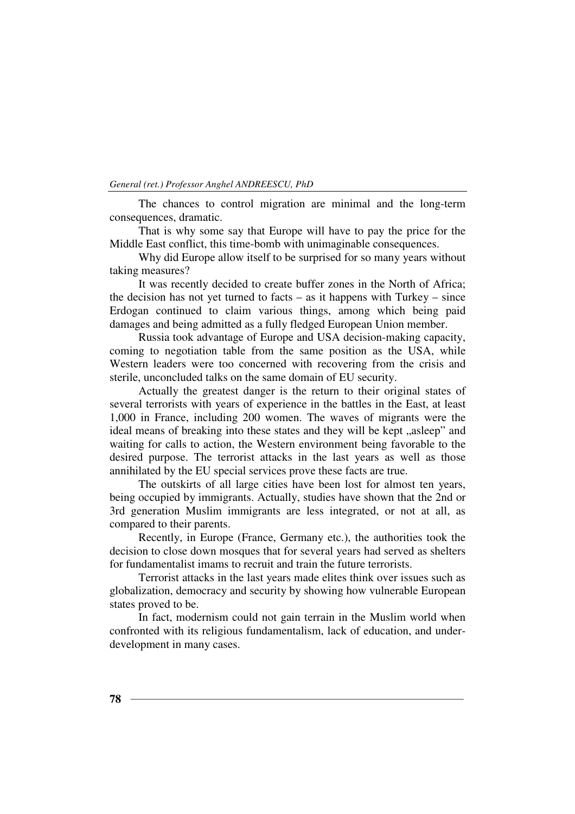#### *General (ret.) Professor Anghel ANDREESCU, PhD*

The chances to control migration are minimal and the long-term consequences, dramatic.

That is why some say that Europe will have to pay the price for the Middle East conflict, this time-bomb with unimaginable consequences.

Why did Europe allow itself to be surprised for so many years without taking measures?

It was recently decided to create buffer zones in the North of Africa; the decision has not yet turned to facts  $-$  as it happens with Turkey  $-$  since Erdogan continued to claim various things, among which being paid damages and being admitted as a fully fledged European Union member.

Russia took advantage of Europe and USA decision-making capacity, coming to negotiation table from the same position as the USA, while Western leaders were too concerned with recovering from the crisis and sterile, unconcluded talks on the same domain of EU security.

Actually the greatest danger is the return to their original states of several terrorists with years of experience in the battles in the East, at least 1,000 in France, including 200 women. The waves of migrants were the ideal means of breaking into these states and they will be kept "asleep" and waiting for calls to action, the Western environment being favorable to the desired purpose. The terrorist attacks in the last years as well as those annihilated by the EU special services prove these facts are true.

The outskirts of all large cities have been lost for almost ten years, being occupied by immigrants. Actually, studies have shown that the 2nd or 3rd generation Muslim immigrants are less integrated, or not at all, as compared to their parents.

Recently, in Europe (France, Germany etc.), the authorities took the decision to close down mosques that for several years had served as shelters for fundamentalist imams to recruit and train the future terrorists.

Terrorist attacks in the last years made elites think over issues such as globalization, democracy and security by showing how vulnerable European states proved to be.

In fact, modernism could not gain terrain in the Muslim world when confronted with its religious fundamentalism, lack of education, and underdevelopment in many cases.